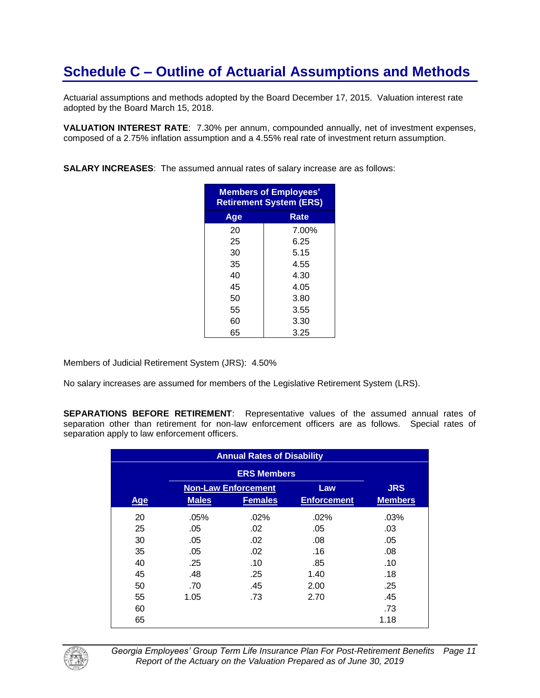Actuarial assumptions and methods adopted by the Board December 17, 2015. Valuation interest rate adopted by the Board March 15, 2018.

**VALUATION INTEREST RATE**: 7.30% per annum, compounded annually, net of investment expenses, composed of a 2.75% inflation assumption and a 4.55% real rate of investment return assumption.

**SALARY INCREASES**: The assumed annual rates of salary increase are as follows:

| <b>Members of Employees'</b><br><b>Retirement System (ERS)</b> |       |  |  |
|----------------------------------------------------------------|-------|--|--|
| Age                                                            | Rate  |  |  |
| 20                                                             | 7.00% |  |  |
| 25                                                             | 6.25  |  |  |
| 30                                                             | 5.15  |  |  |
| 35                                                             | 4.55  |  |  |
| 40                                                             | 4.30  |  |  |
| 45                                                             | 4.05  |  |  |
| 50                                                             | 3.80  |  |  |
| 55                                                             | 3.55  |  |  |
| 60                                                             | 3.30  |  |  |
| 65                                                             | 3.25  |  |  |

Members of Judicial Retirement System (JRS): 4.50%

No salary increases are assumed for members of the Legislative Retirement System (LRS).

**SEPARATIONS BEFORE RETIREMENT**: Representative values of the assumed annual rates of separation other than retirement for non-law enforcement officers are as follows. Special rates of separation apply to law enforcement officers.

| <b>Annual Rates of Disability</b> |              |                            |                    |                |
|-----------------------------------|--------------|----------------------------|--------------------|----------------|
|                                   |              | <b>ERS Members</b>         |                    |                |
|                                   |              | <b>Non-Law Enforcement</b> | Law                | <b>JRS</b>     |
| <b>Age</b>                        | <b>Males</b> | <b>Females</b>             | <b>Enforcement</b> | <b>Members</b> |
| 20                                | .05%         | .02%                       | $.02\%$            | .03%           |
| 25                                | .05          | .02                        | .05                | .03            |
| 30                                | .05          | .02                        | .08                | .05            |
| 35                                | .05          | .02                        | .16                | .08            |
| 40                                | .25          | .10                        | .85                | .10            |
| 45                                | .48          | .25                        | 1.40               | .18            |
| 50                                | .70          | .45                        | 2.00               | .25            |
| 55                                | 1.05         | .73                        | 2.70               | .45            |
| 60                                |              |                            |                    | .73            |
| 65                                |              |                            |                    | 1.18           |



*Georgia Employees' Group Term Life Insurance Plan For Post-Retirement Benefits Page 11 Report of the Actuary on the Valuation Prepared as of June 30, 2019*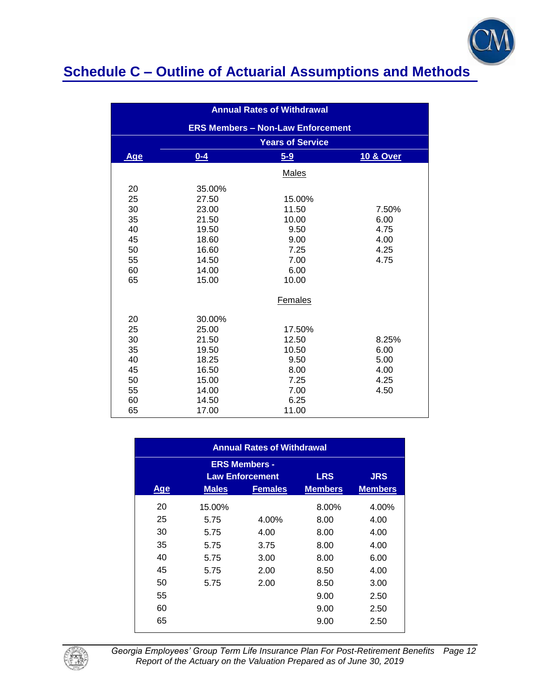

| <b>Annual Rates of Withdrawal</b> |                         |                                          |                      |  |  |
|-----------------------------------|-------------------------|------------------------------------------|----------------------|--|--|
|                                   |                         | <b>ERS Members - Non-Law Enforcement</b> |                      |  |  |
|                                   | <b>Years of Service</b> |                                          |                      |  |  |
| <b>Age</b>                        | $0 - 4$                 | $5-9$                                    | <b>10 &amp; Over</b> |  |  |
|                                   |                         | Males                                    |                      |  |  |
| 20                                | 35.00%                  |                                          |                      |  |  |
| 25                                | 27.50                   | 15.00%                                   |                      |  |  |
| 30                                | 23.00                   | 11.50                                    | 7.50%                |  |  |
| 35                                | 21.50                   | 10.00                                    | 6.00                 |  |  |
| 40                                | 19.50                   | 9.50                                     | 4.75                 |  |  |
| 45                                | 18.60                   | 9.00                                     | 4.00                 |  |  |
| 50                                | 16.60                   | 7.25                                     | 4.25                 |  |  |
| 55                                | 14.50                   | 7.00                                     | 4.75                 |  |  |
| 60                                | 14.00                   | 6.00                                     |                      |  |  |
| 65                                | 15.00                   | 10.00                                    |                      |  |  |
|                                   |                         | Females                                  |                      |  |  |
| 20                                | 30.00%                  |                                          |                      |  |  |
| 25                                | 25.00                   | 17.50%                                   |                      |  |  |
| 30                                | 21.50                   | 12.50                                    | 8.25%                |  |  |
| 35                                | 19.50                   | 10.50                                    | 6.00                 |  |  |
| 40                                | 18.25                   | 9.50                                     | 5.00                 |  |  |
| 45                                | 16.50                   | 8.00                                     | 4.00                 |  |  |
| 50                                | 15.00                   | 7.25                                     | 4.25                 |  |  |
| 55                                | 14.00                   | 7.00                                     | 4.50                 |  |  |
| 60                                | 14.50                   | 6.25                                     |                      |  |  |
| 65                                | 17.00                   | 11.00                                    |                      |  |  |

| <b>Annual Rates of Withdrawal</b>                                          |              |                |                |                |  |  |
|----------------------------------------------------------------------------|--------------|----------------|----------------|----------------|--|--|
| <b>ERS Members -</b><br><b>LRS</b><br><b>JRS</b><br><b>Law Enforcement</b> |              |                |                |                |  |  |
| <b>Age</b>                                                                 | <b>Males</b> | <b>Females</b> | <b>Members</b> | <b>Members</b> |  |  |
| 20                                                                         | 15.00%       |                | 8.00%          | 4.00%          |  |  |
| 25                                                                         | 5.75         | 4.00%          | 8.00           | 4.00           |  |  |
| 30                                                                         | 5.75         | 4.00           | 8.00           | 4.00           |  |  |
| 35                                                                         | 5.75         | 3.75           | 8.00           | 4.00           |  |  |
| 40                                                                         | 5.75         | 3.00           | 8.00           | 6.00           |  |  |
| 45                                                                         | 5.75         | 2.00           | 8.50           | 4.00           |  |  |
| 50                                                                         | 5.75         | 2.00           | 8.50           | 3.00           |  |  |
| 55                                                                         |              |                | 9.00           | 2.50           |  |  |
| 60                                                                         |              |                | 9.00           | 2.50           |  |  |
| 65                                                                         |              |                | 9.00           | 2.50           |  |  |



*Georgia Employees' Group Term Life Insurance Plan For Post-Retirement Benefits Page 12 Report of the Actuary on the Valuation Prepared as of June 30, 2019*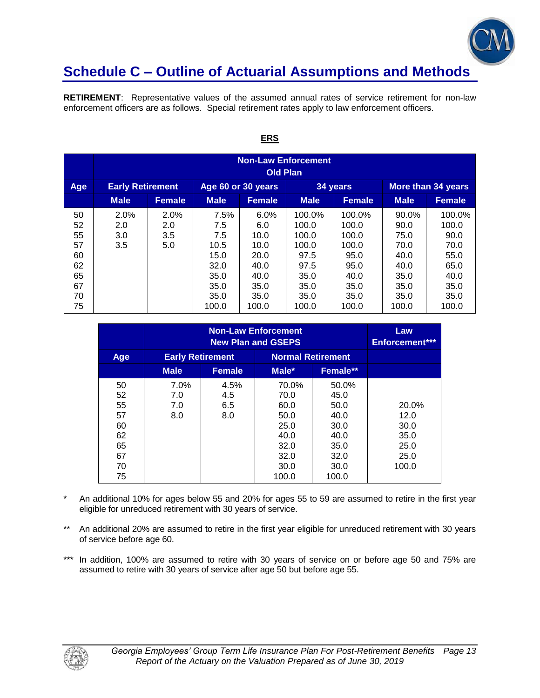

**RETIREMENT**: Representative values of the assumed annual rates of service retirement for non-law enforcement officers are as follows. Special retirement rates apply to law enforcement officers.

|                                                          | <b>Non-Law Enforcement</b><br><b>Old Plan</b> |                           |                                                                             |                                                                              |                                                                                    |                                                                                    |                                                                                |                                                                                  |
|----------------------------------------------------------|-----------------------------------------------|---------------------------|-----------------------------------------------------------------------------|------------------------------------------------------------------------------|------------------------------------------------------------------------------------|------------------------------------------------------------------------------------|--------------------------------------------------------------------------------|----------------------------------------------------------------------------------|
| Age                                                      | <b>Early Retirement</b>                       |                           | Age 60 or 30 years                                                          |                                                                              |                                                                                    | 34 years                                                                           |                                                                                | More than 34 years                                                               |
|                                                          | <b>Male</b>                                   | <b>Female</b>             | <b>Male</b>                                                                 | <b>Female</b>                                                                | <b>Male</b>                                                                        | <b>Female</b>                                                                      | <b>Male</b>                                                                    | <b>Female</b>                                                                    |
| 50<br>52<br>55<br>57<br>60<br>62<br>65<br>67<br>70<br>75 | 2.0%<br>2.0<br>3.0<br>3.5                     | 2.0%<br>2.0<br>3.5<br>5.0 | 7.5%<br>7.5<br>7.5<br>10.5<br>15.0<br>32.0<br>35.0<br>35.0<br>35.0<br>100.0 | 6.0%<br>6.0<br>10.0<br>10.0<br>20.0<br>40.0<br>40.0<br>35.0<br>35.0<br>100.0 | 100.0%<br>100.0<br>100.0<br>100.0<br>97.5<br>97.5<br>35.0<br>35.0<br>35.0<br>100.0 | 100.0%<br>100.0<br>100.0<br>100.0<br>95.0<br>95.0<br>40.0<br>35.0<br>35.0<br>100.0 | 90.0%<br>90.0<br>75.0<br>70.0<br>40.0<br>40.0<br>35.0<br>35.0<br>35.0<br>100.0 | 100.0%<br>100.0<br>90.0<br>70.0<br>55.0<br>65.0<br>40.0<br>35.0<br>35.0<br>100.0 |

#### **ERS**

|                                                    | <b>Non-Law Enforcement</b><br><b>New Plan and GSEPS</b> |                           |                                                                       |                                                                       | Law<br><b>Enforcement***</b>                           |
|----------------------------------------------------|---------------------------------------------------------|---------------------------|-----------------------------------------------------------------------|-----------------------------------------------------------------------|--------------------------------------------------------|
| Age                                                | <b>Early Retirement</b>                                 |                           | <b>Normal Retirement</b>                                              |                                                                       |                                                        |
|                                                    | <b>Male</b>                                             | <b>Female</b>             | Male*                                                                 | Female**                                                              |                                                        |
| 50<br>52<br>55<br>57<br>60<br>62<br>65<br>67<br>70 | 7.0%<br>7.0<br>7.0<br>8.0                               | 4.5%<br>4.5<br>6.5<br>8.0 | 70.0%<br>70.0<br>60.0<br>50.0<br>25.0<br>40.0<br>32.0<br>32.0<br>30.0 | 50.0%<br>45.0<br>50.0<br>40.0<br>30.0<br>40.0<br>35.0<br>32.0<br>30.0 | 20.0%<br>12.0<br>30.0<br>35.0<br>25.0<br>25.0<br>100.0 |

- \* An additional 10% for ages below 55 and 20% for ages 55 to 59 are assumed to retire in the first year eligible for unreduced retirement with 30 years of service.
- \*\* An additional 20% are assumed to retire in the first year eligible for unreduced retirement with 30 years of service before age 60.
- \*\*\* In addition, 100% are assumed to retire with 30 years of service on or before age 50 and 75% are assumed to retire with 30 years of service after age 50 but before age 55.

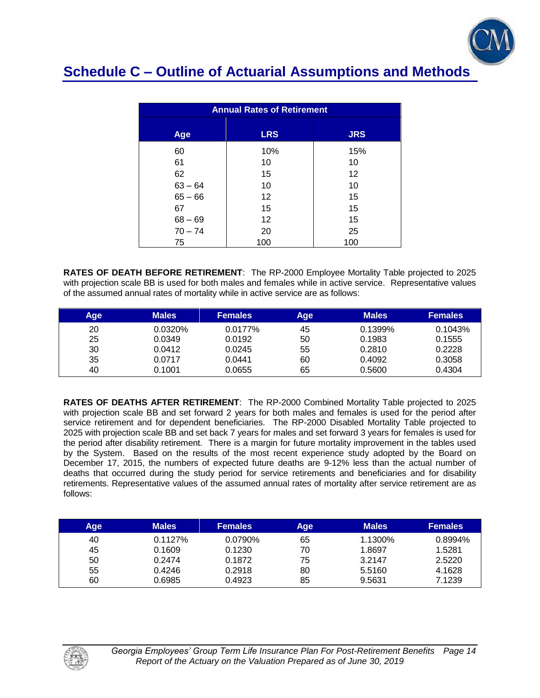

| <b>Annual Rates of Retirement</b> |            |                 |  |  |  |
|-----------------------------------|------------|-----------------|--|--|--|
| Age                               | <b>LRS</b> | <b>JRS</b>      |  |  |  |
| 60                                | 10%        | 15%             |  |  |  |
| 61                                | 10         | 10              |  |  |  |
| 62                                | 15         | 12 <sup>2</sup> |  |  |  |
| $63 - 64$                         | 10         | 10              |  |  |  |
| $65 - 66$                         | 12         | 15              |  |  |  |
| 67                                | 15         | 15              |  |  |  |
| $68 - 69$                         | 12         | 15              |  |  |  |
| $70 - 74$                         | 20         | 25              |  |  |  |
| 75                                | 100        | 100             |  |  |  |

**RATES OF DEATH BEFORE RETIREMENT**: The RP-2000 Employee Mortality Table projected to 2025 with projection scale BB is used for both males and females while in active service. Representative values of the assumed annual rates of mortality while in active service are as follows:

| Aqe | <b>Males</b> | <b>Females</b> | Age | <b>Males</b> | <b>Females</b> |
|-----|--------------|----------------|-----|--------------|----------------|
| 20  | 0.0320%      | 0.0177%        | 45  | 0.1399%      | 0.1043%        |
| 25  | 0.0349       | 0.0192         | 50  | 0.1983       | 0.1555         |
| 30  | 0.0412       | 0.0245         | 55  | 0.2810       | 0.2228         |
| 35  | 0.0717       | 0.0441         | 60  | 0.4092       | 0.3058         |
| 40  | 0.1001       | 0.0655         | 65  | 0.5600       | 0.4304         |

**RATES OF DEATHS AFTER RETIREMENT**: The RP-2000 Combined Mortality Table projected to 2025 with projection scale BB and set forward 2 years for both males and females is used for the period after service retirement and for dependent beneficiaries. The RP-2000 Disabled Mortality Table projected to 2025 with projection scale BB and set back 7 years for males and set forward 3 years for females is used for the period after disability retirement. There is a margin for future mortality improvement in the tables used by the System. Based on the results of the most recent experience study adopted by the Board on December 17, 2015, the numbers of expected future deaths are 9-12% less than the actual number of deaths that occurred during the study period for service retirements and beneficiaries and for disability retirements. Representative values of the assumed annual rates of mortality after service retirement are as follows:

| Age | <b>Males</b> | <b>Females</b> | Age | <b>Males</b> | <b>Females</b> |
|-----|--------------|----------------|-----|--------------|----------------|
| 40  | 0.1127%      | 0.0790%        | 65  | 1.1300%      | $0.8994\%$     |
| 45  | 0.1609       | 0.1230         | 70  | 1.8697       | 1.5281         |
| 50  | 0.2474       | 0.1872         | 75  | 3.2147       | 2.5220         |
| 55  | 0.4246       | 0.2918         | 80  | 5.5160       | 4.1628         |
| 60  | 0.6985       | 0.4923         | 85  | 9.5631       | 7.1239         |

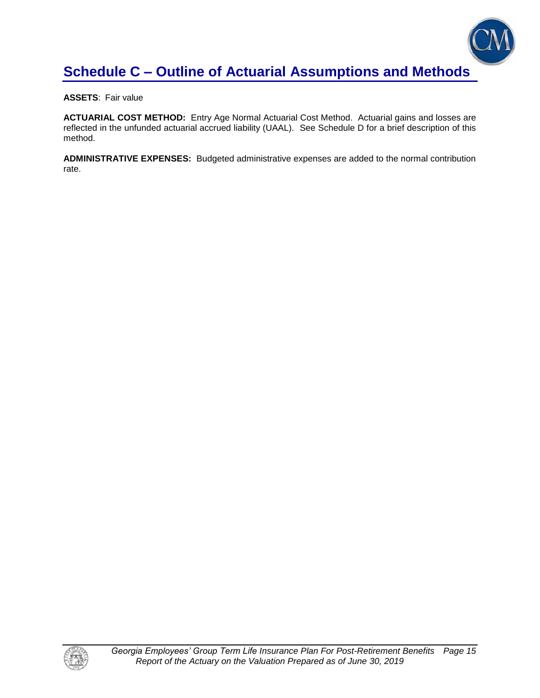

**ASSETS**: Fair value

**ACTUARIAL COST METHOD:** Entry Age Normal Actuarial Cost Method. Actuarial gains and losses are reflected in the unfunded actuarial accrued liability (UAAL). See Schedule D for a brief description of this method.

**ADMINISTRATIVE EXPENSES:** Budgeted administrative expenses are added to the normal contribution rate.

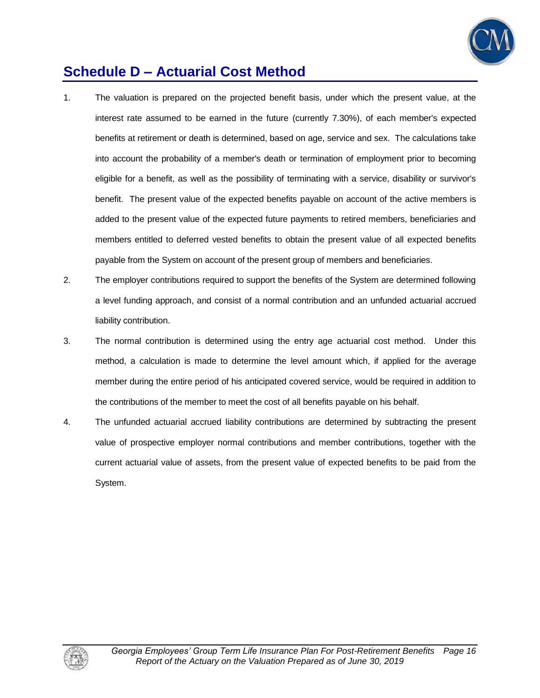

# **Schedule D – Actuarial Cost Method**

- 1. The valuation is prepared on the projected benefit basis, under which the present value, at the interest rate assumed to be earned in the future (currently 7.30%), of each member's expected benefits at retirement or death is determined, based on age, service and sex. The calculations take into account the probability of a member's death or termination of employment prior to becoming eligible for a benefit, as well as the possibility of terminating with a service, disability or survivor's benefit. The present value of the expected benefits payable on account of the active members is added to the present value of the expected future payments to retired members, beneficiaries and members entitled to deferred vested benefits to obtain the present value of all expected benefits payable from the System on account of the present group of members and beneficiaries.
- 2. The employer contributions required to support the benefits of the System are determined following a level funding approach, and consist of a normal contribution and an unfunded actuarial accrued liability contribution.
- 3. The normal contribution is determined using the entry age actuarial cost method. Under this method, a calculation is made to determine the level amount which, if applied for the average member during the entire period of his anticipated covered service, would be required in addition to the contributions of the member to meet the cost of all benefits payable on his behalf.
- 4. The unfunded actuarial accrued liability contributions are determined by subtracting the present value of prospective employer normal contributions and member contributions, together with the current actuarial value of assets, from the present value of expected benefits to be paid from the System.

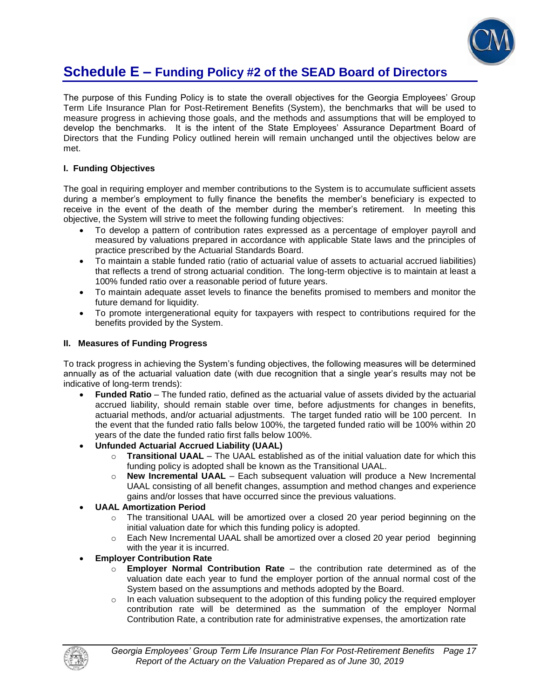

### **Schedule E – Funding Policy #2 of the SEAD Board of Directors**

The purpose of this Funding Policy is to state the overall objectives for the Georgia Employees' Group Term Life Insurance Plan for Post-Retirement Benefits (System), the benchmarks that will be used to measure progress in achieving those goals, and the methods and assumptions that will be employed to develop the benchmarks. It is the intent of the State Employees' Assurance Department Board of Directors that the Funding Policy outlined herein will remain unchanged until the objectives below are met.

#### **I. Funding Objectives**

The goal in requiring employer and member contributions to the System is to accumulate sufficient assets during a member's employment to fully finance the benefits the member's beneficiary is expected to receive in the event of the death of the member during the member's retirement. In meeting this objective, the System will strive to meet the following funding objectives:

- To develop a pattern of contribution rates expressed as a percentage of employer payroll and measured by valuations prepared in accordance with applicable State laws and the principles of practice prescribed by the Actuarial Standards Board.
- To maintain a stable funded ratio (ratio of actuarial value of assets to actuarial accrued liabilities) that reflects a trend of strong actuarial condition. The long-term objective is to maintain at least a 100% funded ratio over a reasonable period of future years.
- To maintain adequate asset levels to finance the benefits promised to members and monitor the future demand for liquidity.
- To promote intergenerational equity for taxpayers with respect to contributions required for the benefits provided by the System.

#### **II. Measures of Funding Progress**

To track progress in achieving the System's funding objectives, the following measures will be determined annually as of the actuarial valuation date (with due recognition that a single year's results may not be indicative of long-term trends):

- **Funded Ratio** The funded ratio, defined as the actuarial value of assets divided by the actuarial accrued liability, should remain stable over time, before adjustments for changes in benefits, actuarial methods, and/or actuarial adjustments. The target funded ratio will be 100 percent. In the event that the funded ratio falls below 100%, the targeted funded ratio will be 100% within 20 years of the date the funded ratio first falls below 100%.
- **Unfunded Actuarial Accrued Liability (UAAL)**
	- o **Transitional UAAL** The UAAL established as of the initial valuation date for which this funding policy is adopted shall be known as the Transitional UAAL.
	- o **New Incremental UAAL** Each subsequent valuation will produce a New Incremental UAAL consisting of all benefit changes, assumption and method changes and experience gains and/or losses that have occurred since the previous valuations.
- **UAAL Amortization Period** 
	- o The transitional UAAL will be amortized over a closed 20 year period beginning on the initial valuation date for which this funding policy is adopted.
	- $\circ$  Each New Incremental UAAL shall be amortized over a closed 20 year period beginning with the year it is incurred.
- **Employer Contribution Rate**
	- o **Employer Normal Contribution Rate**  the contribution rate determined as of the valuation date each year to fund the employer portion of the annual normal cost of the System based on the assumptions and methods adopted by the Board.
	- $\circ$  In each valuation subsequent to the adoption of this funding policy the required employer contribution rate will be determined as the summation of the employer Normal Contribution Rate, a contribution rate for administrative expenses, the amortization rate

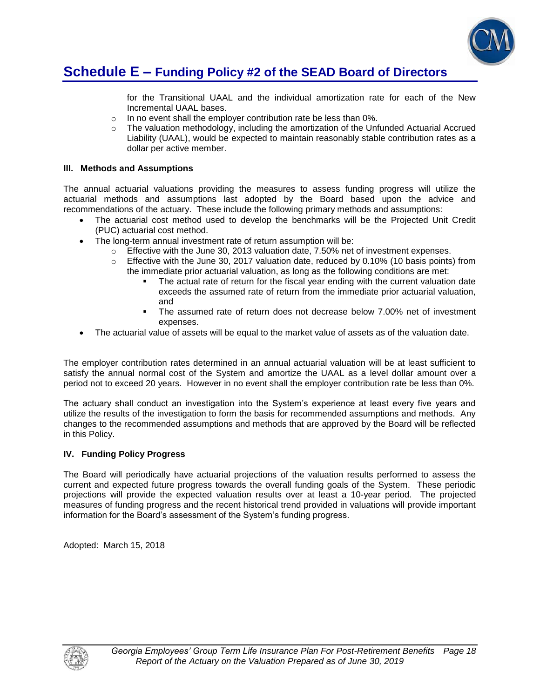

### **Schedule E – Funding Policy #2 of the SEAD Board of Directors**

for the Transitional UAAL and the individual amortization rate for each of the New Incremental UAAL bases.

- o In no event shall the employer contribution rate be less than 0%.
- $\circ$  The valuation methodology, including the amortization of the Unfunded Actuarial Accrued Liability (UAAL), would be expected to maintain reasonably stable contribution rates as a dollar per active member.

#### **III. Methods and Assumptions**

The annual actuarial valuations providing the measures to assess funding progress will utilize the actuarial methods and assumptions last adopted by the Board based upon the advice and recommendations of the actuary. These include the following primary methods and assumptions:

- The actuarial cost method used to develop the benchmarks will be the Projected Unit Credit (PUC) actuarial cost method.
- The long-term annual investment rate of return assumption will be:
	- $\circ$  Effective with the June 30, 2013 valuation date, 7.50% net of investment expenses.
	- o Effective with the June 30, 2017 valuation date, reduced by 0.10% (10 basis points) from the immediate prior actuarial valuation, as long as the following conditions are met:
		- The actual rate of return for the fiscal year ending with the current valuation date exceeds the assumed rate of return from the immediate prior actuarial valuation, and
		- The assumed rate of return does not decrease below 7.00% net of investment expenses.
- The actuarial value of assets will be equal to the market value of assets as of the valuation date.

The employer contribution rates determined in an annual actuarial valuation will be at least sufficient to satisfy the annual normal cost of the System and amortize the UAAL as a level dollar amount over a period not to exceed 20 years. However in no event shall the employer contribution rate be less than 0%.

The actuary shall conduct an investigation into the System's experience at least every five years and utilize the results of the investigation to form the basis for recommended assumptions and methods. Any changes to the recommended assumptions and methods that are approved by the Board will be reflected in this Policy.

#### **IV. Funding Policy Progress**

The Board will periodically have actuarial projections of the valuation results performed to assess the current and expected future progress towards the overall funding goals of the System. These periodic projections will provide the expected valuation results over at least a 10-year period. The projected measures of funding progress and the recent historical trend provided in valuations will provide important information for the Board's assessment of the System's funding progress.

Adopted: March 15, 2018

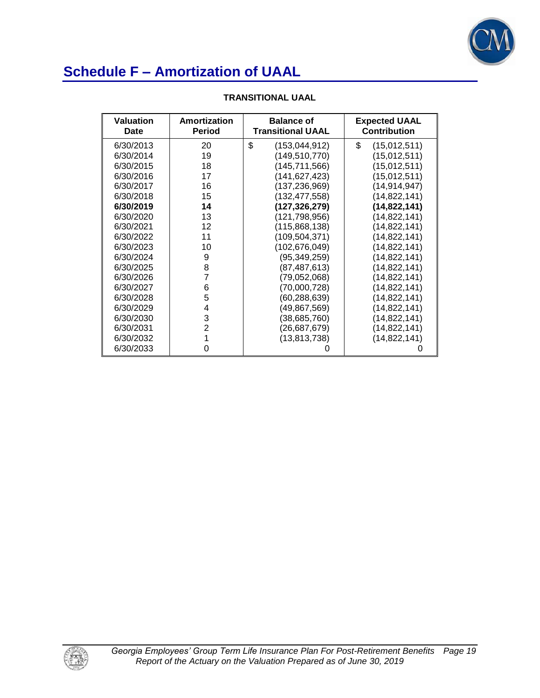

| <b>Valuation</b><br>Date | Amortization<br><b>Period</b> | <b>Balance of</b><br><b>Transitional UAAL</b> | <b>Expected UAAL</b><br><b>Contribution</b> |
|--------------------------|-------------------------------|-----------------------------------------------|---------------------------------------------|
| 6/30/2013                | 20                            | \$<br>(153,044,912)                           | \$<br>(15,012,511)                          |
| 6/30/2014                | 19                            | (149,510,770)                                 | (15,012,511)                                |
| 6/30/2015                | 18                            | (145,711,566)                                 | (15,012,511)                                |
| 6/30/2016                | 17                            | (141,627,423)                                 | (15,012,511)                                |
| 6/30/2017                | 16                            | (137, 236, 969)                               | (14,914,947)                                |
| 6/30/2018                | 15                            | (132,477,558)                                 | (14,822,141)                                |
| 6/30/2019                | 14                            | (127,326,279)                                 | (14,822,141)                                |
| 6/30/2020                | 13                            | (121,798,956)                                 | (14, 822, 141)                              |
| 6/30/2021                | 12                            | (115,868,138)                                 | (14, 822, 141)                              |
| 6/30/2022                | 11                            | (109,504,371)                                 | (14, 822, 141)                              |
| 6/30/2023                | 10                            | (102, 676, 049)                               | (14,822,141)                                |
| 6/30/2024                | 9                             | (95,349,259)                                  | (14,822,141)                                |
| 6/30/2025                | 8                             | (87, 487, 613)                                | (14, 822, 141)                              |
| 6/30/2026                | 7                             | (79,052,068)                                  | (14, 822, 141)                              |
| 6/30/2027                | 6                             | (70,000,728)                                  | (14, 822, 141)                              |
| 6/30/2028                | 5                             | (60,288,639)                                  | (14, 822, 141)                              |
| 6/30/2029                | 4                             | (49,867,569)                                  | (14, 822, 141)                              |
| 6/30/2030                | 3                             | (38, 685, 760)                                | (14,822,141)                                |
| 6/30/2031                | 2                             | (26,687,679)                                  | (14,822,141)                                |
| 6/30/2032                | 1                             | (13, 813, 738)                                | (14, 822, 141)                              |
| 6/30/2033                | ი                             |                                               |                                             |

#### **TRANSITIONAL UAAL**

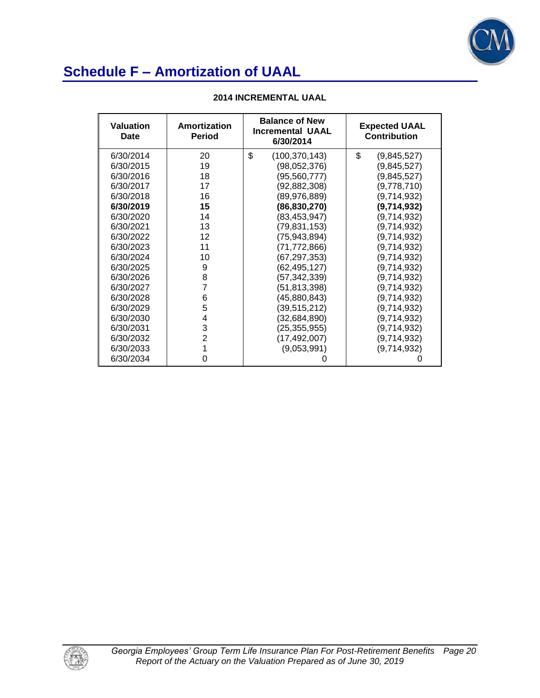

| <b>Valuation</b><br>Date | Amortization<br><b>Period</b> | <b>Balance of New</b><br><b>Incremental UAAL</b><br>6/30/2014 | <b>Expected UAAL</b><br>Contribution |
|--------------------------|-------------------------------|---------------------------------------------------------------|--------------------------------------|
| 6/30/2014                | 20                            | \$<br>(100, 370, 143)                                         | \$<br>(9,845,527)                    |
| 6/30/2015                | 19                            | (98,052,376)                                                  | (9,845,527)                          |
| 6/30/2016                | 18                            | (95, 560, 777)                                                | (9,845,527)                          |
| 6/30/2017                | 17                            | (92,882,308)                                                  | (9,778,710)                          |
| 6/30/2018                | 16                            | (89, 976, 889)                                                | (9,714,932)                          |
| 6/30/2019                | 15                            | (86, 830, 270)                                                | (9,714,932)                          |
| 6/30/2020                | 14                            | (83, 453, 947)                                                | (9,714,932)                          |
| 6/30/2021                | 13                            | (79,831,153)                                                  | (9,714,932)                          |
| 6/30/2022                | 12                            | (75, 943, 894)                                                | (9,714,932)                          |
| 6/30/2023                | 11                            | (71, 772, 866)                                                | (9,714,932)                          |
| 6/30/2024                | 10                            | (67, 297, 353)                                                | (9,714,932)                          |
| 6/30/2025                | 9                             | (62, 495, 127)                                                | (9,714,932)                          |
| 6/30/2026                | 8                             | (57, 342, 339)                                                | (9,714,932)                          |
| 6/30/2027                | 7                             | (51, 813, 398)                                                | (9,714,932)                          |
| 6/30/2028                | 6                             | (45,880,843)                                                  | (9,714,932)                          |
| 6/30/2029                | 5                             | (39, 515, 212)                                                | (9,714,932)                          |
| 6/30/2030                | 4                             | (32, 684, 890)                                                | (9,714,932)                          |
| 6/30/2031                | 3                             | (25, 355, 955)                                                | (9,714,932)                          |
| 6/30/2032                | $\overline{2}$                | (17, 492, 007)                                                | (9,714,932)                          |
| 6/30/2033                | 1                             | (9,053,991)                                                   | (9,714,932)                          |
| 6/30/2034                | 0                             | 0                                                             |                                      |

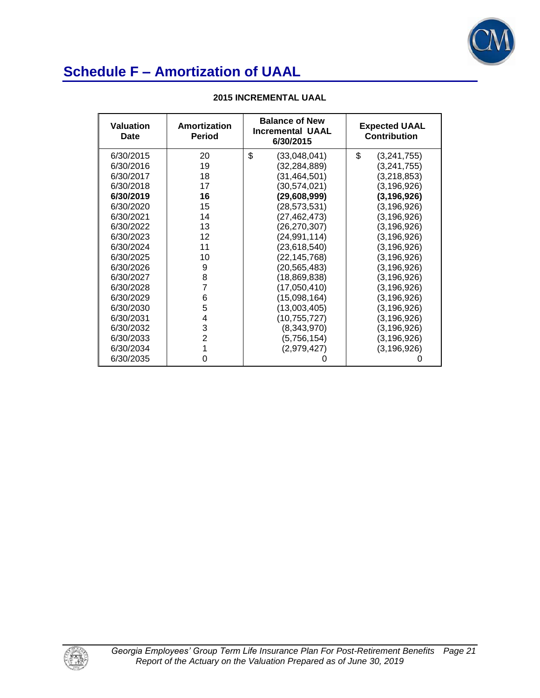

| <b>Valuation</b><br>Date | Amortization<br>Period | <b>Balance of New</b><br><b>Incremental UAAL</b><br>6/30/2015 | <b>Expected UAAL</b><br><b>Contribution</b> |
|--------------------------|------------------------|---------------------------------------------------------------|---------------------------------------------|
| 6/30/2015                | 20                     | \$<br>(33,048,041)                                            | \$<br>(3, 241, 755)                         |
| 6/30/2016                | 19                     | (32, 284, 889)                                                | (3, 241, 755)                               |
| 6/30/2017                | 18                     | (31, 464, 501)                                                | (3,218,853)                                 |
| 6/30/2018                | 17                     | (30, 574, 021)                                                | (3,196,926)                                 |
| 6/30/2019                | 16                     | (29,608,999)                                                  | (3, 196, 926)                               |
| 6/30/2020                | 15                     | (28,573,531)                                                  | (3, 196, 926)                               |
| 6/30/2021                | 14                     | (27,462,473)                                                  | (3, 196, 926)                               |
| 6/30/2022                | 13                     | (26,270,307)                                                  | (3, 196, 926)                               |
| 6/30/2023                | 12                     | (24,991,114)                                                  | (3, 196, 926)                               |
| 6/30/2024                | 11                     | (23, 618, 540)                                                | (3, 196, 926)                               |
| 6/30/2025                | 10                     | (22,145,768)                                                  | (3, 196, 926)                               |
| 6/30/2026                | 9                      | (20,565,483)                                                  | (3, 196, 926)                               |
| 6/30/2027                | 8                      | (18,869,838)                                                  | (3, 196, 926)                               |
| 6/30/2028                | 7                      | (17,050,410)                                                  | (3, 196, 926)                               |
| 6/30/2029                | 6                      | (15,098,164)                                                  | (3, 196, 926)                               |
| 6/30/2030                | 5                      | (13,003,405)                                                  | (3, 196, 926)                               |
| 6/30/2031                | 4                      | (10, 755, 727)                                                | (3, 196, 926)                               |
| 6/30/2032                | 3                      | (8,343,970)                                                   | (3, 196, 926)                               |
| 6/30/2033                | $\overline{2}$         | (5,756,154)                                                   | (3, 196, 926)                               |
| 6/30/2034                | 1                      | (2,979,427)                                                   | (3, 196, 926)                               |
| 6/30/2035                | 0                      |                                                               |                                             |

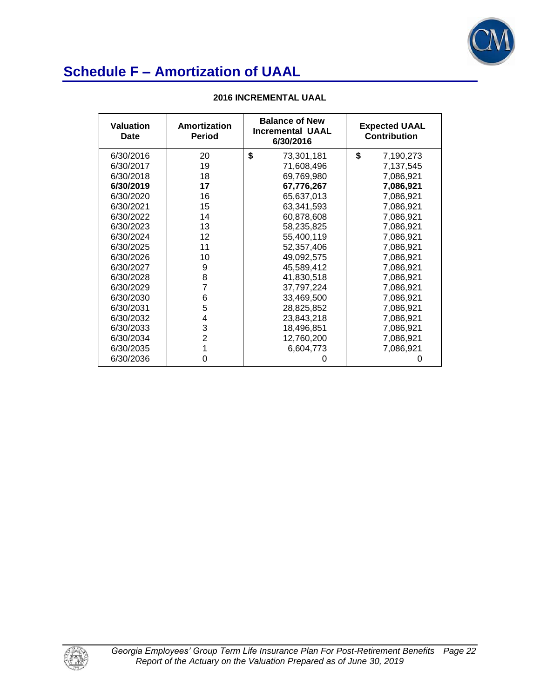

| <b>Valuation</b><br>Date | Amortization<br><b>Period</b> | <b>Balance of New</b><br><b>Incremental UAAL</b><br>6/30/2016 | <b>Expected UAAL</b><br><b>Contribution</b> |  |
|--------------------------|-------------------------------|---------------------------------------------------------------|---------------------------------------------|--|
| 6/30/2016                | 20                            | \$<br>73,301,181                                              | \$<br>7,190,273                             |  |
| 6/30/2017                | 19                            | 71,608,496                                                    | 7,137,545                                   |  |
| 6/30/2018                | 18                            | 69,769,980                                                    | 7,086,921                                   |  |
| 6/30/2019                | 17                            | 67,776,267                                                    | 7,086,921                                   |  |
| 6/30/2020                | 16                            | 65,637,013                                                    | 7,086,921                                   |  |
| 6/30/2021                | 15                            | 63,341,593                                                    | 7,086,921                                   |  |
| 6/30/2022                | 14                            | 60,878,608                                                    | 7,086,921                                   |  |
| 6/30/2023                | 13                            | 58,235,825                                                    | 7,086,921                                   |  |
| 6/30/2024                | 12                            | 55,400,119                                                    | 7,086,921                                   |  |
| 6/30/2025                | 11                            | 52,357,406                                                    | 7,086,921                                   |  |
| 6/30/2026                | 10                            | 49,092,575                                                    | 7,086,921                                   |  |
| 6/30/2027                | 9                             | 45,589,412                                                    | 7,086,921                                   |  |
| 6/30/2028                | 8                             | 41,830,518                                                    | 7,086,921                                   |  |
| 6/30/2029                | 7                             | 37,797,224                                                    | 7,086,921                                   |  |
| 6/30/2030                | 6                             | 33,469,500                                                    | 7,086,921                                   |  |
| 6/30/2031                | 5                             | 28,825,852                                                    | 7,086,921                                   |  |
| 6/30/2032                | 4                             | 23,843,218                                                    | 7,086,921                                   |  |
| 6/30/2033                | 3                             | 18,496,851                                                    | 7,086,921                                   |  |
| 6/30/2034                | $\overline{2}$                | 12,760,200                                                    | 7,086,921                                   |  |
| 6/30/2035                | 1                             | 6,604,773                                                     | 7,086,921                                   |  |
| 6/30/2036                | 0                             | 0                                                             | 0                                           |  |

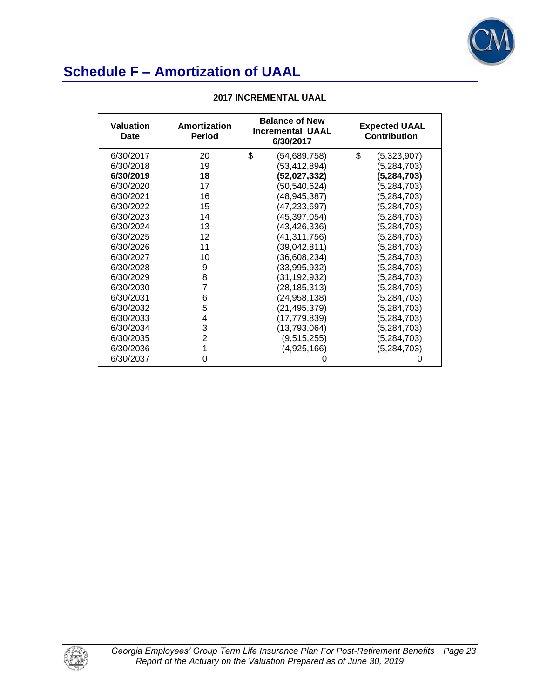

| <b>Valuation</b><br>Date | Amortization<br><b>Period</b> | <b>Balance of New</b><br><b>Incremental UAAL</b><br>6/30/2017 | <b>Expected UAAL</b><br><b>Contribution</b> |  |
|--------------------------|-------------------------------|---------------------------------------------------------------|---------------------------------------------|--|
| 6/30/2017                | 20                            | \$<br>(54,689,758)                                            | \$<br>(5,323,907)                           |  |
| 6/30/2018                | 19                            | (53,412,894)                                                  | (5,284,703)                                 |  |
| 6/30/2019                | 18                            | (52,027,332)                                                  | (5, 284, 703)                               |  |
| 6/30/2020                | 17                            | (50,540,624)                                                  | (5,284,703)                                 |  |
| 6/30/2021                | 16                            | (48, 945, 387)                                                | (5,284,703)                                 |  |
| 6/30/2022                | 15                            | (47, 233, 697)                                                | (5,284,703)                                 |  |
| 6/30/2023                | 14                            | (45, 397, 054)                                                | (5,284,703)                                 |  |
| 6/30/2024                | 13                            | (43, 426, 336)                                                | (5,284,703)                                 |  |
| 6/30/2025                | 12                            | (41, 311, 756)                                                | (5,284,703)                                 |  |
| 6/30/2026                | 11                            | (39,042,811)                                                  | (5,284,703)                                 |  |
| 6/30/2027                | 10                            | (36,608,234)                                                  | (5,284,703)                                 |  |
| 6/30/2028                | 9                             | (33,995,932)                                                  | (5,284,703)                                 |  |
| 6/30/2029                | 8                             | (31, 192, 932)                                                | (5,284,703)                                 |  |
| 6/30/2030                | $\overline{7}$                | (28, 185, 313)                                                | (5,284,703)                                 |  |
| 6/30/2031                | 6                             | (24, 958, 138)                                                | (5,284,703)                                 |  |
| 6/30/2032                | 5                             | (21, 495, 379)                                                | (5,284,703)                                 |  |
| 6/30/2033                | 4                             | (17,779,839)                                                  | (5, 284, 703)                               |  |
| 6/30/2034                | 3                             | (13,793,064)                                                  | (5, 284, 703)                               |  |
| 6/30/2035                | $\overline{2}$                | (9,515,255)                                                   | (5, 284, 703)                               |  |
| 6/30/2036                | 1                             | (4,925,166)                                                   | (5, 284, 703)                               |  |
| 6/30/2037                | 0                             |                                                               |                                             |  |

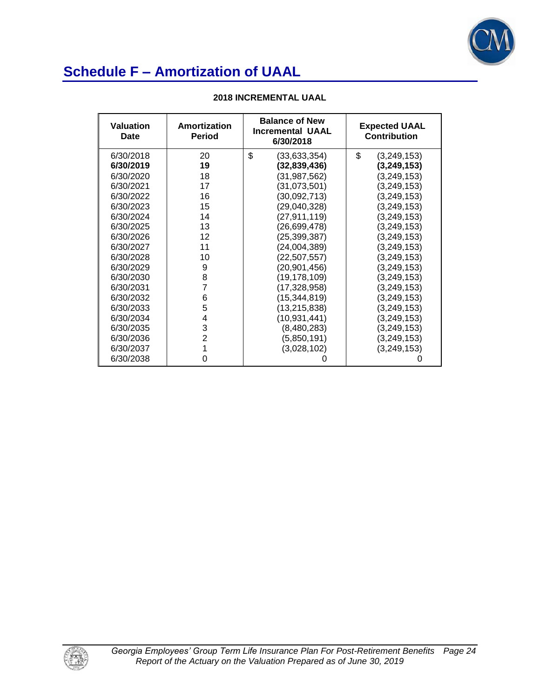

| <b>Valuation</b><br>Date | Amortization<br><b>Period</b> | <b>Balance of New</b><br><b>Incremental UAAL</b><br>6/30/2018 | <b>Expected UAAL</b><br><b>Contribution</b> |  |
|--------------------------|-------------------------------|---------------------------------------------------------------|---------------------------------------------|--|
| 6/30/2018                | 20                            | \$<br>(33, 633, 354)                                          | \$<br>(3,249,153)                           |  |
| 6/30/2019                | 19                            | (32, 839, 436)                                                | (3,249,153)                                 |  |
| 6/30/2020                | 18                            | (31, 987, 562)                                                | (3,249,153)                                 |  |
| 6/30/2021                | 17                            | (31,073,501)                                                  | (3,249,153)                                 |  |
| 6/30/2022                | 16                            | (30,092,713)                                                  | (3,249,153)                                 |  |
| 6/30/2023                | 15                            | (29,040,328)                                                  | (3,249,153)                                 |  |
| 6/30/2024                | 14                            | (27,911,119)                                                  | (3,249,153)                                 |  |
| 6/30/2025                | 13                            | (26,699,478)                                                  | (3,249,153)                                 |  |
| 6/30/2026                | 12                            | (25,399,387)                                                  | (3,249,153)                                 |  |
| 6/30/2027                | 11                            | (24,004,389)                                                  | (3,249,153)                                 |  |
| 6/30/2028                | 10                            | (22, 507, 557)                                                | (3,249,153)                                 |  |
| 6/30/2029                | 9                             | (20, 901, 456)                                                | (3,249,153)                                 |  |
| 6/30/2030                | 8                             | (19, 178, 109)                                                | (3,249,153)                                 |  |
| 6/30/2031                | 7                             | (17, 328, 958)                                                | (3, 249, 153)                               |  |
| 6/30/2032                | 6                             | (15, 344, 819)                                                | (3, 249, 153)                               |  |
| 6/30/2033                | 5                             | (13, 215, 838)                                                | (3, 249, 153)                               |  |
| 6/30/2034                | 4                             | (10, 931, 441)                                                | (3, 249, 153)                               |  |
| 6/30/2035                | 3                             | (8,480,283)                                                   | (3, 249, 153)                               |  |
| 6/30/2036                | $\overline{2}$                | (5,850,191)                                                   | (3, 249, 153)                               |  |
| 6/30/2037                | 1                             | (3,028,102)                                                   | (3, 249, 153)                               |  |
| 6/30/2038                | 0                             | O                                                             |                                             |  |

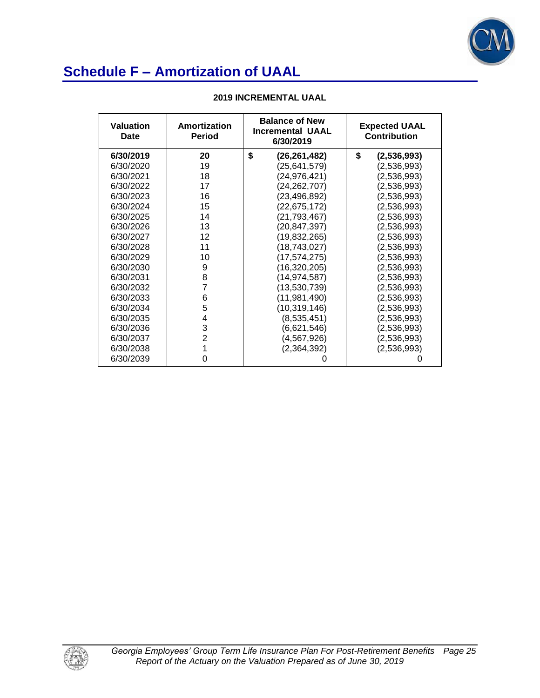

| <b>Valuation</b><br>Date | Amortization<br><b>Period</b> | <b>Balance of New</b><br><b>Incremental UAAL</b><br>6/30/2019 | <b>Expected UAAL</b><br><b>Contribution</b> |  |
|--------------------------|-------------------------------|---------------------------------------------------------------|---------------------------------------------|--|
| 6/30/2019                | 20                            | \$<br>(26,261,482)                                            | \$<br>(2,536,993)                           |  |
| 6/30/2020                | 19                            | (25, 641, 579)                                                | (2,536,993)                                 |  |
| 6/30/2021                | 18                            | (24,976,421)                                                  | (2,536,993)                                 |  |
| 6/30/2022                | 17                            | (24, 262, 707)                                                | (2,536,993)                                 |  |
| 6/30/2023                | 16                            | (23, 496, 892)                                                | (2,536,993)                                 |  |
| 6/30/2024                | 15                            | (22, 675, 172)                                                | (2,536,993)                                 |  |
| 6/30/2025                | 14                            | (21,793,467)                                                  | (2,536,993)                                 |  |
| 6/30/2026                | 13                            | (20,847,397)                                                  | (2,536,993)                                 |  |
| 6/30/2027                | 12                            | (19,832,265)                                                  | (2,536,993)                                 |  |
| 6/30/2028                | 11                            | (18, 743, 027)                                                | (2,536,993)                                 |  |
| 6/30/2029                | 10                            | (17, 574, 275)                                                | (2,536,993)                                 |  |
| 6/30/2030                | 9                             | (16, 320, 205)                                                | (2,536,993)                                 |  |
| 6/30/2031                | 8                             | (14, 974, 587)                                                | (2,536,993)                                 |  |
| 6/30/2032                | 7                             | (13,530,739)                                                  | (2,536,993)                                 |  |
| 6/30/2033                | 6                             | (11, 981, 490)                                                | (2,536,993)                                 |  |
| 6/30/2034                | 5                             | (10, 319, 146)                                                | (2,536,993)                                 |  |
| 6/30/2035                | 4                             | (8,535,451)                                                   | (2,536,993)                                 |  |
| 6/30/2036                | 3                             | (6,621,546)                                                   | (2,536,993)                                 |  |
| 6/30/2037                | $\overline{2}$                | (4,567,926)                                                   | (2,536,993)                                 |  |
| 6/30/2038                | 1                             | (2, 364, 392)                                                 | (2,536,993)                                 |  |
| 6/30/2039                | 0                             |                                                               |                                             |  |

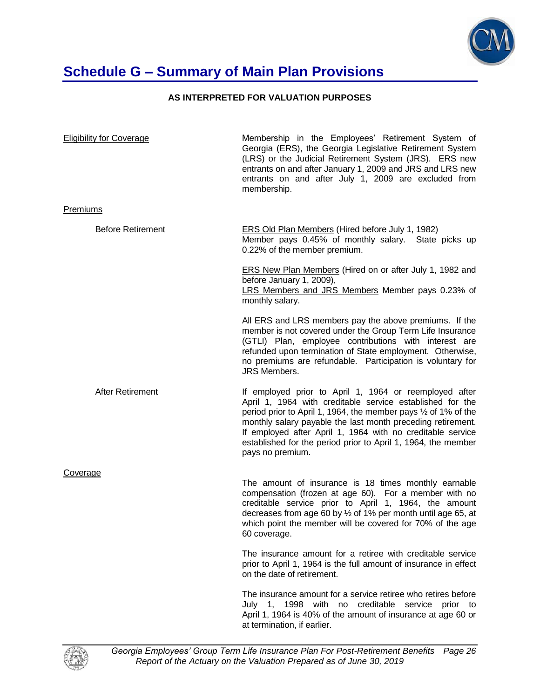

## **Schedule G – Summary of Main Plan Provisions**

#### **AS INTERPRETED FOR VALUATION PURPOSES**

| <b>Eligibility for Coverage</b> | Membership in the Employees' Retirement System of<br>Georgia (ERS), the Georgia Legislative Retirement System<br>(LRS) or the Judicial Retirement System (JRS). ERS new<br>entrants on and after January 1, 2009 and JRS and LRS new<br>entrants on and after July 1, 2009 are excluded from<br>membership.                                                                                                        |  |  |
|---------------------------------|--------------------------------------------------------------------------------------------------------------------------------------------------------------------------------------------------------------------------------------------------------------------------------------------------------------------------------------------------------------------------------------------------------------------|--|--|
| <b>Premiums</b>                 |                                                                                                                                                                                                                                                                                                                                                                                                                    |  |  |
| <b>Before Retirement</b>        | <b>ERS Old Plan Members (Hired before July 1, 1982)</b><br>Member pays 0.45% of monthly salary. State picks up<br>0.22% of the member premium.                                                                                                                                                                                                                                                                     |  |  |
|                                 | <b>ERS New Plan Members (Hired on or after July 1, 1982 and</b><br>before January 1, 2009),<br>LRS Members and JRS Members Member pays 0.23% of<br>monthly salary.                                                                                                                                                                                                                                                 |  |  |
|                                 | All ERS and LRS members pay the above premiums. If the<br>member is not covered under the Group Term Life Insurance<br>(GTLI) Plan, employee contributions with interest are<br>refunded upon termination of State employment. Otherwise,<br>no premiums are refundable. Participation is voluntary for<br><b>JRS Members.</b>                                                                                     |  |  |
| After Retirement                | If employed prior to April 1, 1964 or reemployed after<br>April 1, 1964 with creditable service established for the<br>period prior to April 1, 1964, the member pays $\frac{1}{2}$ of 1% of the<br>monthly salary payable the last month preceding retirement.<br>If employed after April 1, 1964 with no creditable service<br>established for the period prior to April 1, 1964, the member<br>pays no premium. |  |  |
| Coverage                        |                                                                                                                                                                                                                                                                                                                                                                                                                    |  |  |
|                                 | The amount of insurance is 18 times monthly earnable<br>compensation (frozen at age 60). For a member with no<br>creditable service prior to April 1, 1964, the amount<br>decreases from age 60 by 1/2 of 1% per month until age 65, at<br>which point the member will be covered for 70% of the age<br>60 coverage.                                                                                               |  |  |
|                                 | The insurance amount for a retiree with creditable service<br>prior to April 1, 1964 is the full amount of insurance in effect<br>on the date of retirement.                                                                                                                                                                                                                                                       |  |  |
|                                 | The insurance amount for a service retiree who retires before<br>July 1, 1998 with no creditable service prior to<br>April 1, 1964 is 40% of the amount of insurance at age 60 or<br>at termination, if earlier.                                                                                                                                                                                                   |  |  |



*Georgia Employees' Group Term Life Insurance Plan For Post-Retirement Benefits Page 26 Report of the Actuary on the Valuation Prepared as of June 30, 2019*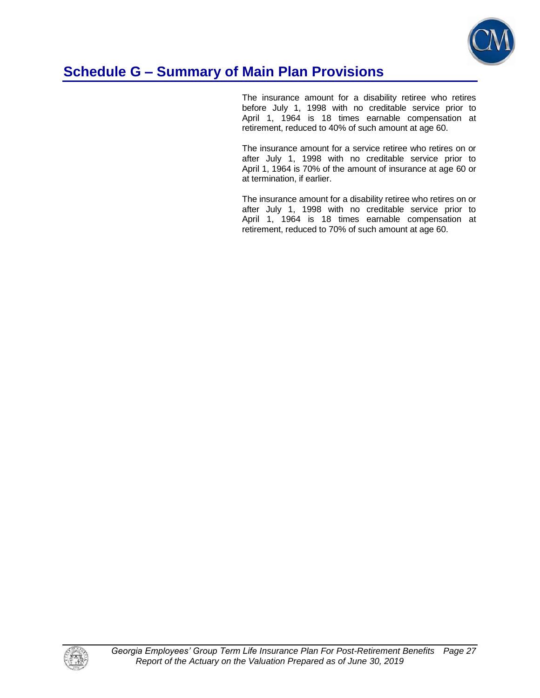

### **Schedule G – Summary of Main Plan Provisions**

 The insurance amount for a disability retiree who retires before July 1, 1998 with no creditable service prior to April 1, 1964 is 18 times earnable compensation at retirement, reduced to 40% of such amount at age 60.

 The insurance amount for a service retiree who retires on or after July 1, 1998 with no creditable service prior to April 1, 1964 is 70% of the amount of insurance at age 60 or at termination, if earlier.

 The insurance amount for a disability retiree who retires on or after July 1, 1998 with no creditable service prior to April 1, 1964 is 18 times earnable compensation at retirement, reduced to 70% of such amount at age 60.